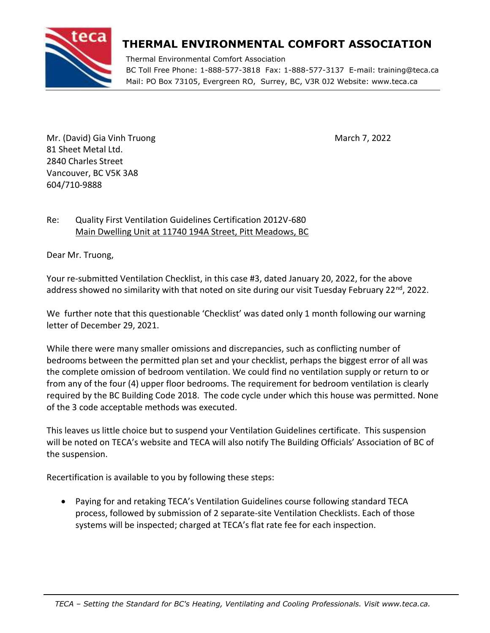

## **THERMAL ENVIRONMENTAL COMFORT ASSOCIATION**

Thermal Environmental Comfort Association BC Toll Free Phone: 1-888-577-3818 Fax: 1-888-577-3137 E-mail: training@teca.ca Mail: PO Box 73105, Evergreen RO, Surrey, BC, V3R 0J2 Website: www.teca.ca

Mr. (David) Gia Vinh Truong March 7, 2022 81 Sheet Metal Ltd. 2840 Charles Street Vancouver, BC V5K 3A8 604/710-9888

## Re: Quality First Ventilation Guidelines Certification 2012V-680 Main Dwelling Unit at 11740 194A Street, Pitt Meadows, BC

Dear Mr. Truong,

Your re-submitted Ventilation Checklist, in this case #3, dated January 20, 2022, for the above address showed no similarity with that noted on site during our visit Tuesday February 22<sup>nd</sup>, 2022.

We further note that this questionable 'Checklist' was dated only 1 month following our warning letter of December 29, 2021.

While there were many smaller omissions and discrepancies, such as conflicting number of bedrooms between the permitted plan set and your checklist, perhaps the biggest error of all was the complete omission of bedroom ventilation. We could find no ventilation supply or return to or from any of the four (4) upper floor bedrooms. The requirement for bedroom ventilation is clearly required by the BC Building Code 2018. The code cycle under which this house was permitted. None of the 3 code acceptable methods was executed.

This leaves us little choice but to suspend your Ventilation Guidelines certificate. This suspension will be noted on TECA's website and TECA will also notify The Building Officials' Association of BC of the suspension.

Recertification is available to you by following these steps:

• Paying for and retaking TECA's Ventilation Guidelines course following standard TECA process, followed by submission of 2 separate-site Ventilation Checklists. Each of those systems will be inspected; charged at TECA's flat rate fee for each inspection.